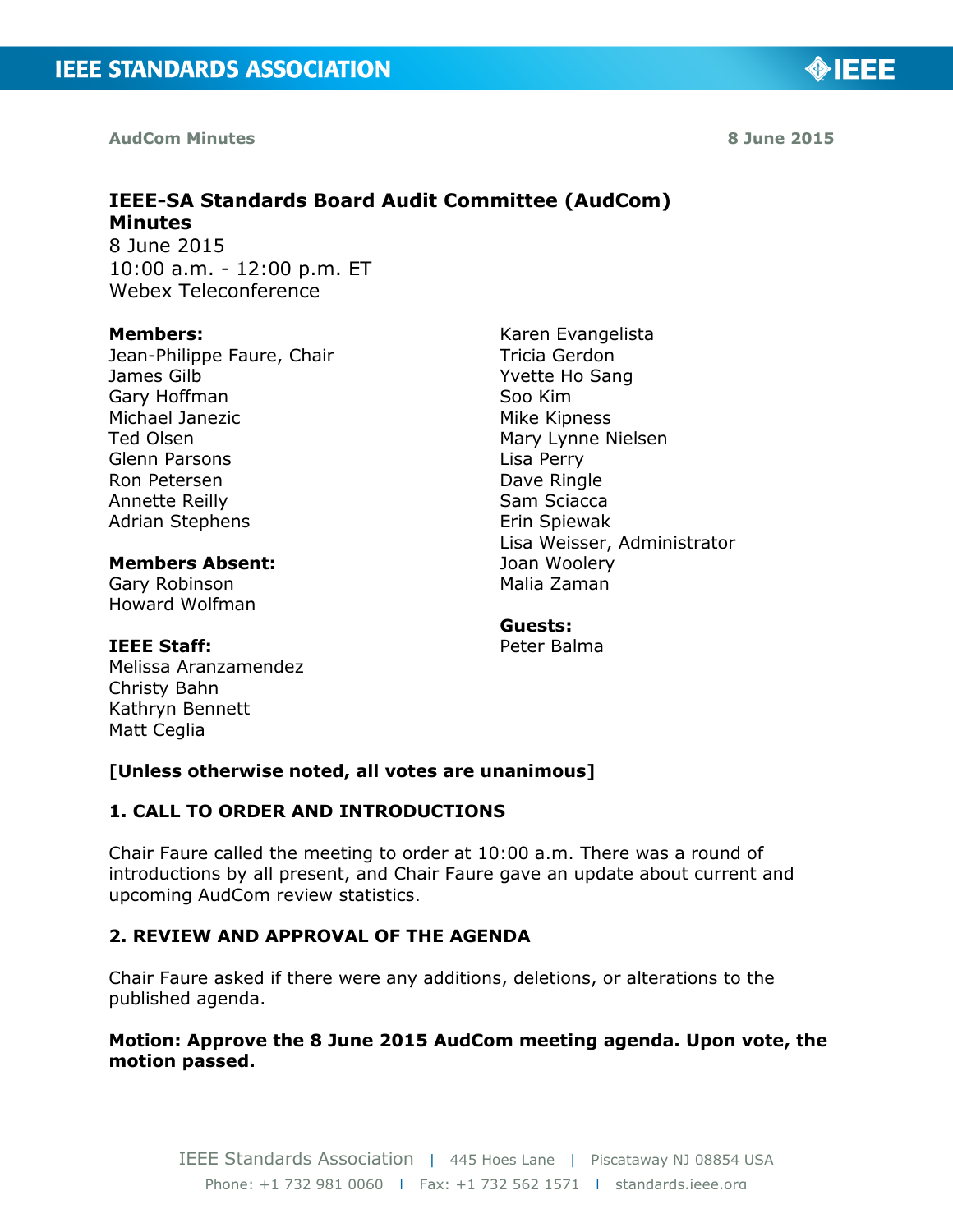**AudCom Minutes** 

# **IEEE-SA Standards Board Audit Committee (AudCom) Minutes**

8 June 2015 10:00 a.m. - 12:00 p.m. ET Webex Teleconference

#### **Members:**

Jean-Philippe Faure, Chair James Gilb Gary Hoffman Michael Janezic Ted Olsen Glenn Parsons Ron Petersen Annette Reilly Adrian Stephens

#### **Members Absent:**  Gary Robinson Howard Wolfman

**IEEE Staff:**  Melissa Aranzamendez Christy Bahn Kathryn Bennett Matt Ceglia

#### Karen Evangelista Tricia Gerdon Yvette Ho Sang Soo Kim Mike Kipness Mary Lynne Nielsen Lisa Perry Dave Ringle Sam Sciacca Erin Spiewak Lisa Weisser, Administrator Joan Woolery Malia Zaman

# **Guests:**

Peter Balma

# **[Unless otherwise noted, all votes are unanimous]**

# **1. CALL TO ORDER AND INTRODUCTIONS**

Chair Faure called the meeting to order at 10:00 a.m. There was a round of introductions by all present, and Chair Faure gave an update about current and upcoming AudCom review statistics.

# **2. REVIEW AND APPROVAL OF THE AGENDA**

Chair Faure asked if there were any additions, deletions, or alterations to the published agenda.

# **Motion: Approve the 8 June 2015 AudCom meeting agenda. Upon vote, the motion passed.**

**8 June 2015** 

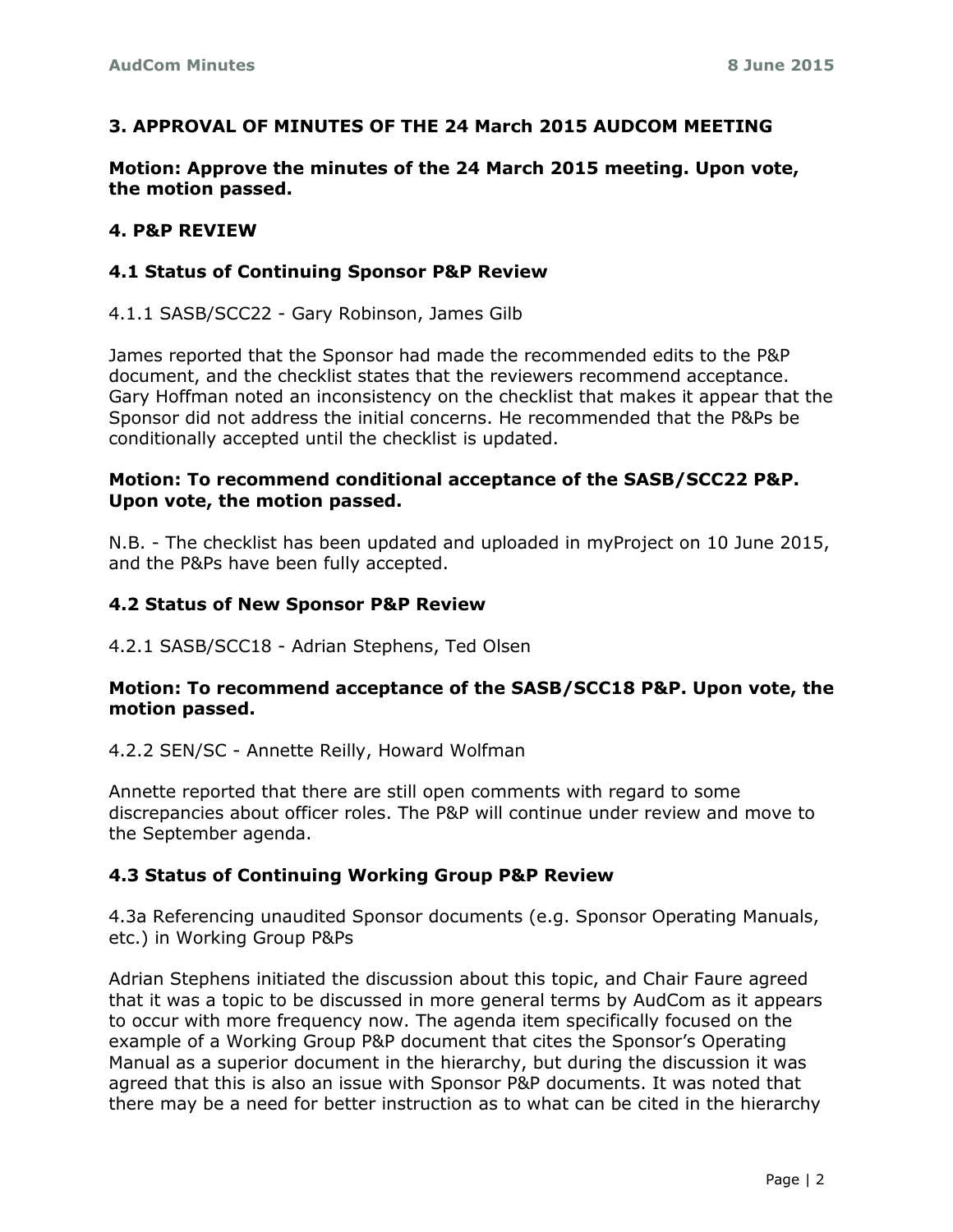### **3. APPROVAL OF MINUTES OF THE 24 March 2015 AUDCOM MEETING**

**Motion: Approve the minutes of the 24 March 2015 meeting. Upon vote, the motion passed.** 

#### **4. P&P REVIEW**

#### **4.1 Status of Continuing Sponsor P&P Review**

4.1.1 SASB/SCC22 - Gary Robinson, James Gilb

James reported that the Sponsor had made the recommended edits to the P&P document, and the checklist states that the reviewers recommend acceptance. Gary Hoffman noted an inconsistency on the checklist that makes it appear that the Sponsor did not address the initial concerns. He recommended that the P&Ps be conditionally accepted until the checklist is updated.

#### **Motion: To recommend conditional acceptance of the SASB/SCC22 P&P. Upon vote, the motion passed.**

N.B. - The checklist has been updated and uploaded in myProject on 10 June 2015, and the P&Ps have been fully accepted.

#### **4.2 Status of New Sponsor P&P Review**

4.2.1 SASB/SCC18 - Adrian Stephens, Ted Olsen

#### **Motion: To recommend acceptance of the SASB/SCC18 P&P. Upon vote, the motion passed.**

4.2.2 SEN/SC - Annette Reilly, Howard Wolfman

Annette reported that there are still open comments with regard to some discrepancies about officer roles. The P&P will continue under review and move to the September agenda.

#### **4.3 Status of Continuing Working Group P&P Review**

4.3a Referencing unaudited Sponsor documents (e.g. Sponsor Operating Manuals, etc.) in Working Group P&Ps

Adrian Stephens initiated the discussion about this topic, and Chair Faure agreed that it was a topic to be discussed in more general terms by AudCom as it appears to occur with more frequency now. The agenda item specifically focused on the example of a Working Group P&P document that cites the Sponsor's Operating Manual as a superior document in the hierarchy, but during the discussion it was agreed that this is also an issue with Sponsor P&P documents. It was noted that there may be a need for better instruction as to what can be cited in the hierarchy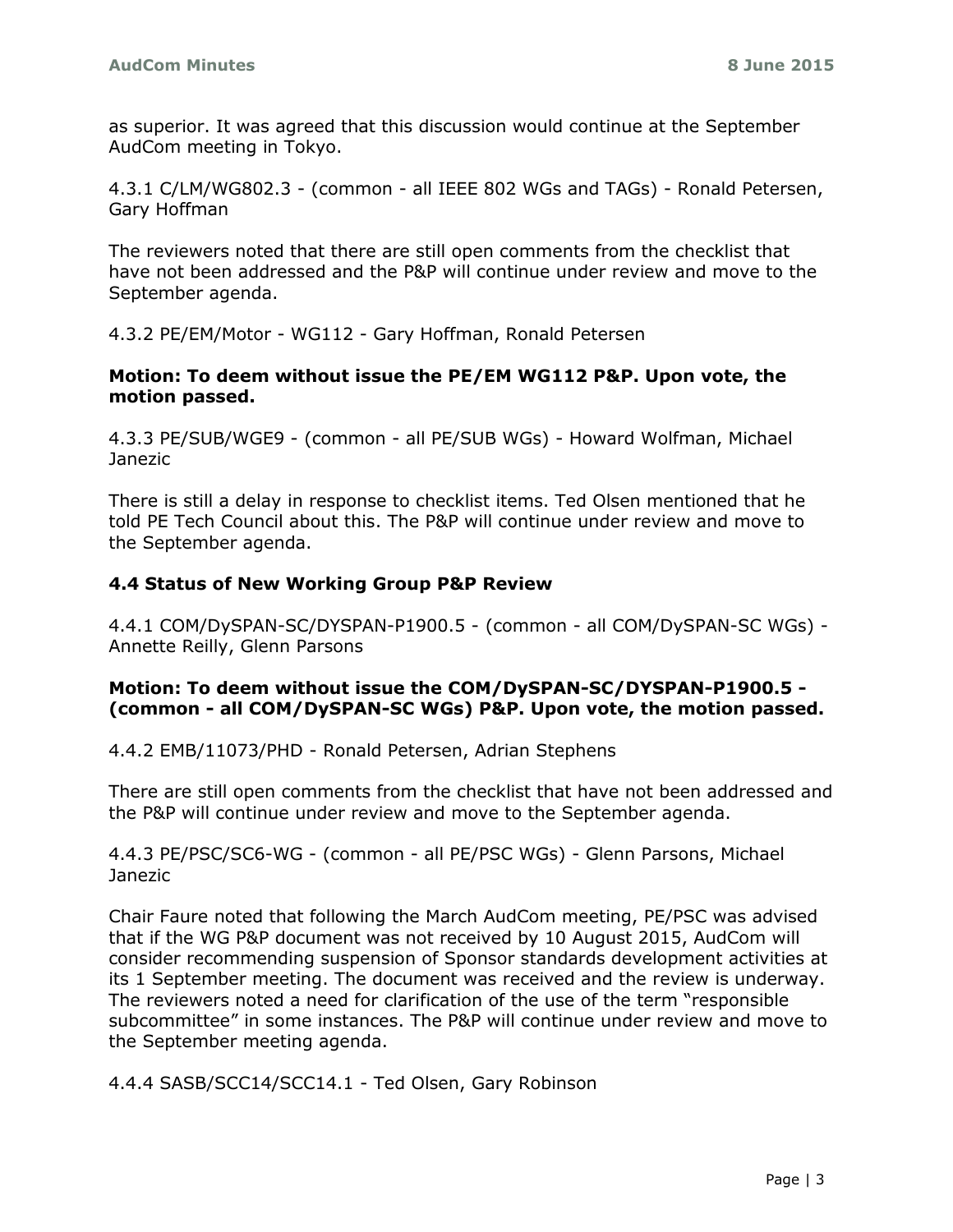as superior. It was agreed that this discussion would continue at the September AudCom meeting in Tokyo.

4.3.1 C/LM/WG802.3 - (common - all IEEE 802 WGs and TAGs) - Ronald Petersen, Gary Hoffman

The reviewers noted that there are still open comments from the checklist that have not been addressed and the P&P will continue under review and move to the September agenda.

4.3.2 PE/EM/Motor - WG112 - Gary Hoffman, Ronald Petersen

#### **Motion: To deem without issue the PE/EM WG112 P&P. Upon vote, the motion passed.**

4.3.3 PE/SUB/WGE9 - (common - all PE/SUB WGs) - Howard Wolfman, Michael Janezic

There is still a delay in response to checklist items. Ted Olsen mentioned that he told PE Tech Council about this. The P&P will continue under review and move to the September agenda.

#### **4.4 Status of New Working Group P&P Review**

4.4.1 COM/DySPAN-SC/DYSPAN-P1900.5 - (common - all COM/DySPAN-SC WGs) - Annette Reilly, Glenn Parsons

#### **Motion: To deem without issue the COM/DySPAN-SC/DYSPAN-P1900.5 - (common - all COM/DySPAN-SC WGs) P&P. Upon vote, the motion passed.**

4.4.2 EMB/11073/PHD - Ronald Petersen, Adrian Stephens

There are still open comments from the checklist that have not been addressed and the P&P will continue under review and move to the September agenda.

4.4.3 PE/PSC/SC6-WG - (common - all PE/PSC WGs) - Glenn Parsons, Michael Janezic

Chair Faure noted that following the March AudCom meeting, PE/PSC was advised that if the WG P&P document was not received by 10 August 2015, AudCom will consider recommending suspension of Sponsor standards development activities at its 1 September meeting. The document was received and the review is underway. The reviewers noted a need for clarification of the use of the term "responsible subcommittee" in some instances. The P&P will continue under review and move to the September meeting agenda.

4.4.4 SASB/SCC14/SCC14.1 - Ted Olsen, Gary Robinson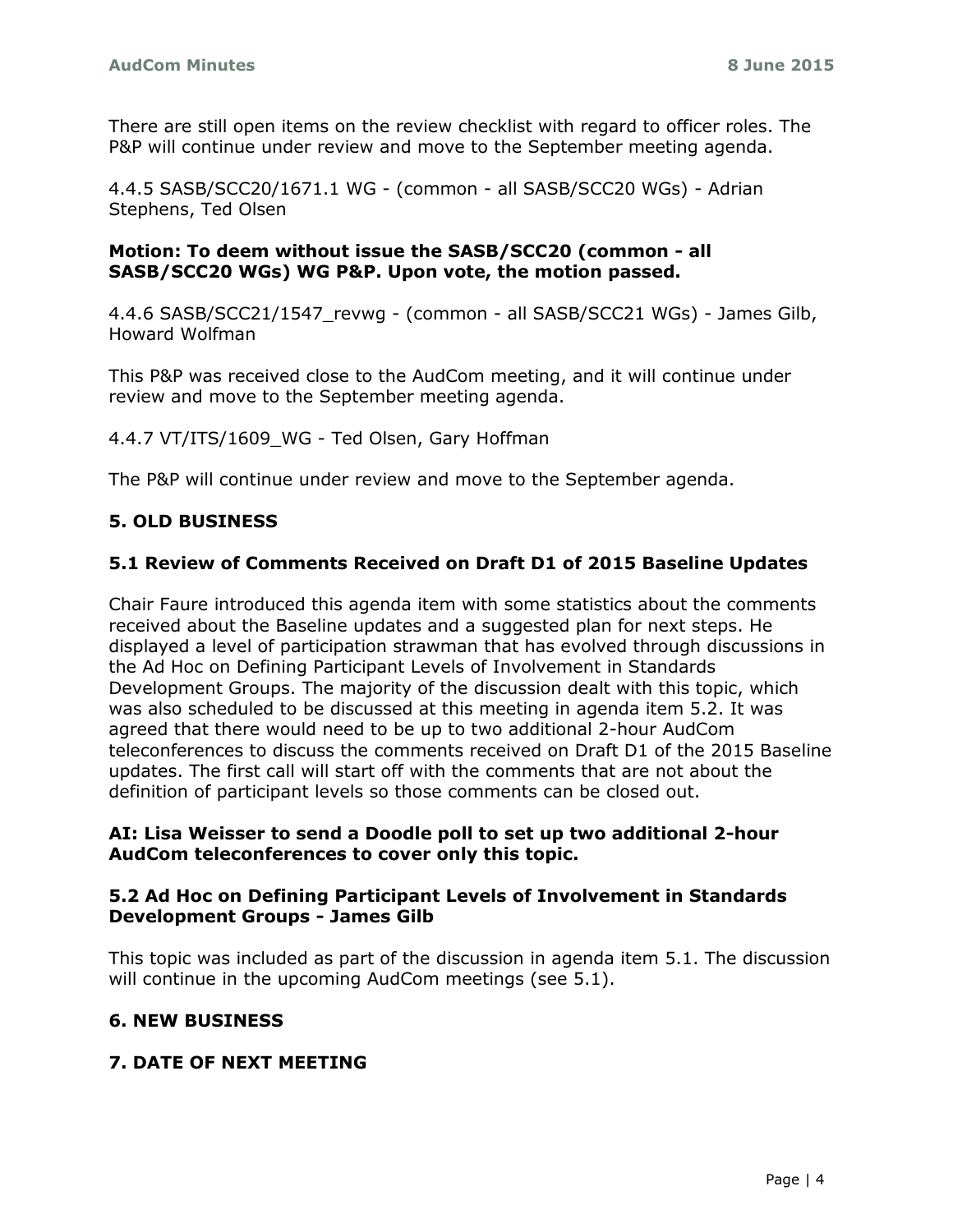There are still open items on the review checklist with regard to officer roles. The P&P will continue under review and move to the September meeting agenda.

4.4.5 SASB/SCC20/1671.1 WG - (common - all SASB/SCC20 WGs) - Adrian Stephens, Ted Olsen

#### **Motion: To deem without issue the SASB/SCC20 (common - all SASB/SCC20 WGs) WG P&P. Upon vote, the motion passed.**

4.4.6 SASB/SCC21/1547\_revwg - (common - all SASB/SCC21 WGs) - James Gilb, Howard Wolfman

This P&P was received close to the AudCom meeting, and it will continue under review and move to the September meeting agenda.

4.4.7 VT/ITS/1609 WG - Ted Olsen, Gary Hoffman

The P&P will continue under review and move to the September agenda.

# **5. OLD BUSINESS**

### **5.1 Review of Comments Received on Draft D1 of 2015 Baseline Updates**

Chair Faure introduced this agenda item with some statistics about the comments received about the Baseline updates and a suggested plan for next steps. He displayed a level of participation strawman that has evolved through discussions in the Ad Hoc on Defining Participant Levels of Involvement in Standards Development Groups. The majority of the discussion dealt with this topic, which was also scheduled to be discussed at this meeting in agenda item 5.2. It was agreed that there would need to be up to two additional 2-hour AudCom teleconferences to discuss the comments received on Draft D1 of the 2015 Baseline updates. The first call will start off with the comments that are not about the definition of participant levels so those comments can be closed out.

#### **AI: Lisa Weisser to send a Doodle poll to set up two additional 2-hour AudCom teleconferences to cover only this topic.**

#### **5.2 Ad Hoc on Defining Participant Levels of Involvement in Standards Development Groups - James Gilb**

This topic was included as part of the discussion in agenda item 5.1. The discussion will continue in the upcoming AudCom meetings (see 5.1).

### **6. NEW BUSINESS**

### **7. DATE OF NEXT MEETING**